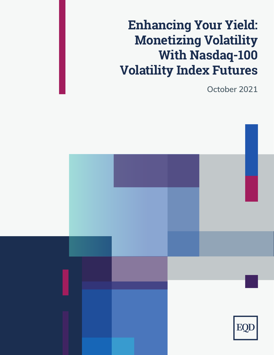# **Enhancing Your Yield: Monetizing Volatility With Nasdaq-100 Volatility Index Futures**

**October 2021**

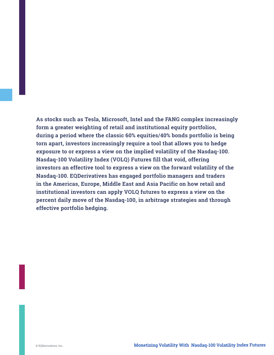**As stocks such as Tesla, Microsoft, Intel and the FANG complex increasingly form a greater weighting of retail and institutional equity portfolios, during a period where the classic 60% equities/40% bonds portfolio is being torn apart, investors increasingly require a tool that allows you to hedge exposure to or express a view on the implied volatility of the Nasdaq-100. Nasdaq-100 Volatility Index (VOLQ) Futures fill that void, offering investors an effective tool to express a view on the forward volatility of the Nasdaq-100. EQDerivatives has engaged portfolio managers and traders in the Americas, Europe, Middle East and Asia Pacific on how retail and institutional investors can apply VOLQ futures to express a view on the percent daily move of the Nasdaq-100, in arbitrage strategies and through effective portfolio hedging.**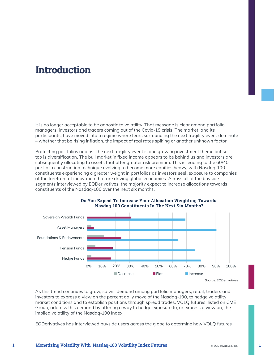### **Introduction**

It is no longer acceptable to be agnostic to volatility. That message is clear among portfolio managers, investors and traders coming out of the Covid-19 crisis. The market, and its participants, have moved into a regime where fears surrounding the next fragility event dominate – whether that be rising inflation, the impact of real rates spiking or another unknown factor.

Protecting portfolios against the next fragility event is one growing investment theme but so too is diversification. The bull market in fixed income appears to be behind us and investors are subsequently allocating to assets that offer greater risk premium. This is leading to the 60/40 portfolio construction technique evolving to become more equities heavy, with Nasdaq-100 constituents experiencing a greater weight in portfolios as investors seek exposure to companies at the forefront of innovation that are driving global economies. Across all of the buyside segments interviewed by EQDerivatives, the majority expect to increase allocations towards constituents of the Nasdaq-100 over the next six months.



#### **Do You Expect To Increase Your Allocation Weighting Towards Nasdaq-100 Constituents In The Next Six Months?**

As this trend continues to grow, so will demand among portfolio managers, retail, traders and investors to express a view on the percent daily move of the Nasdaq-100, to hedge volatility market conditions and to establish positions through spread trades. VOLQ futures, listed on CME Group, address this demand by offering a way to hedge exposure to, or express a view on, the implied volatility of the Nasdaq-100 Index.

EQDerivatives has interviewed buyside users across the globe to determine how VOLQ futures

**1**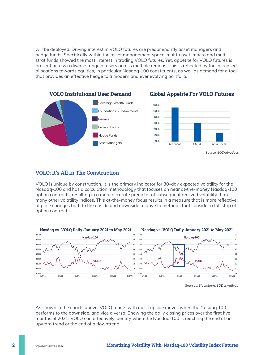will be deployed. Driving interest in VOLQ futures are predominantly asset managers and hedge funds. Specifically within the asset management space, multi-asset, macro and multistrat funds showed the most interest in trading VOLQ futures. Yet, appetite for VOLQ futures is present across a diverse range of users across multiple regions. This is reflected by the increased allocations towards equities, in particular Nasdaq-100 constituents, as well as demand for a tool that provides an effective hedge to a modern and ever evolving portfolio.



#### **VOLQ: It's All In The Construction**

VOLQ is unique by construction. It is the primary indicator for 30-day expected volatility for the Nasdaq-100 and has a calculation methodology that focuses on near at-the-money Nasdaq-100 option contracts, resulting in a more accurate predictor of subsequent realized volatility than many other volatility indices. This at-the-money focus results in a measure that is more reflective of price changes both to the upside and downside relative to methods that consider a full strip of option contracts.



*Sources: Bloomberg, EQDerivatives*

As shown in the charts above, VOLQ reacts with quick upside moves when the Nasdaq 100 performs to the downside, and vice a versa. Showing the daily closing prices over the first five months of 2021, VOLQ can effectively identify when the Nasdaq-100 is reaching the end of an upward trend or the end of a downtrend.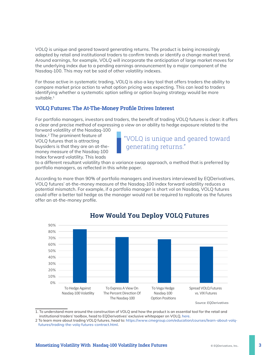VOLQ is unique and geared toward generating returns. The product is being increasingly adopted by retail and institutional traders to confirm trends or identify a change market trend. Around earnings, for example, VOLQ will incorporate the anticipation of large market moves for the underlying index due to a pending earnings announcement by a major component of the Nasdaq-100. This may not be said of other volatility indexes.

For those active in systematic trading, VOLQ is also a key tool that offers traders the ability to compare market price action to what option pricing was expecting. This can lead to traders identifying whether a systematic option selling or option buying strategy would be more suitable.<sup>1</sup>

#### **VOLQ Futures: The At-The-Money Profile Drives Interest**

For portfolio managers, investors and traders, the benefit of trading VOLQ futures is clear: it offers a clear and precise method of expressing a view on or ability to hedge exposure related to the

forward volatility of the Nasdaq-100 Index.2 The prominent feature of VOLQ futures that is attracting buysiders is that they are an at-themoney measure of the Nasdaq-100 Index forward volatility. This leads



to a different resultant volatility than a variance swap approach, a method that is preferred by portfolio managers, as reflected in this white paper.

According to more than 90% of portfolio managers and investors interviewed by EQDerivatives, VOLQ futures' at-the-money measure of the Nasdaq-100 index forward volatility reduces a potential mismatch. For example, if a portfolio manager is short vol on Nasdaq, VOLQ futures could offer a better tail hedge as the manager would not be required to replicate as the futures offer an at-the-money profile.



#### **How Would You Deploy VOLQ Futures**

<sup>1.</sup> To understand more around the construction of VOLQ and how the product is an essential tool for the retail and institutional traders' toolbox, head to EQDerivatives' exclusive whitepaper on VOLQ, [here.](https://eqderivatives.com/wp-content/uploads/Research-Report-Using-Volatility-Expectation-For-Successful-Option-Trading-September-2021.pdf)

<sup>2</sup> To learn more about trading VOLQ futures, head to: [https://www.cmegroup.com/education/courses/learn-about-volq](https://www.cmegroup.com/education/courses/learn-about-volq-futures/trading-the-volq-futures-contract.html)[futures/trading-the-volq-futures-contract.html](https://www.cmegroup.com/education/courses/learn-about-volq-futures/trading-the-volq-futures-contract.html).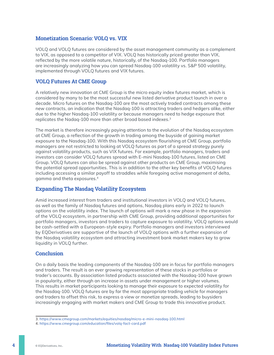#### **Monetization Scenario: VOLQ vs. VIX**

VOLQ and VOLQ futures are considered by the asset management community as a complement to VIX, as opposed to a competitor of VIX. VOLQ has historically priced greater than VIX, reflected by the more volatile nature, historically, of the Nasdaq-100. Portfolio managers are increasingly analyzing how you can spread Nasdaq-100 volatility vs. S&P 500 volatility, implemented through VOLQ futures and VIX futures.

#### **VOLQ Futures At CME Group**

A relatively new innovation at CME Group is the micro equity index futures market, which is considered by many to be the most successful new listed derivative product launch in over a decade. Micro futures on the Nasdaq-100 are the most actively traded contracts among these new contracts, an indication that the Nasdaq-100 is attracting traders and hedgers alike, either due to the higher Nasdaq-100 volatility or because managers need to hedge exposure that replicates the Nadaq-100 more than other broad based indexes.<sup>3</sup>

The market is therefore increasingly paying attention to the evolution of the Nasdaq ecosystem at CME Group, a reflection of the growth in trading among the buyside of gaining market exposure to the Nasdaq-100. With this Nasdaq ecosystem flourishing at CME Group, portfolio managers are not restricted to looking at VOLQ futures as part of a spread strategy purely against volatility products, such as VIX futures. For example, portfolio managers, traders and investors can consider VOLQ futures spread with E-mini Nasdaq-100 futures, listed on CME Group. VOLQ futures can also be spread against other products on CME Group, maximising the potential spread opportunities. This is in addition to the other key benefits of VOLQ futures including accessing a similar payoff to straddles while foregoing active management of delta, gamma and theta exposures.4

#### **Expanding The Nasdaq Volatility Ecosystem**

Amid increased interest from traders and institutional investors in VOLQ and VOLQ futures, as well as the family of Nasdaq futures and options, Nasdaq plans early in 2022 to launch options on the volatility index. The launch of options will mark a new phase in the expansion of the VOLQ ecosystem, in partnership with CME Group, providing additional opportunities for portfolio managers, investors and traders to capture exposure to volatility. VOLQ options would be cash-settled with a European-style expiry. Portfolio managers and investors interviewed by EQDerivatives are supportive of the launch of VOLQ options with a further expansion of the Nasdaq volatility ecosystem and attracting investment bank market makers key to grow liquidity in VOLQ further.

#### **Conclusion**

On a daily basis the leading components of the Nasdaq-100 are in focus for portfolio managers and traders. The result is an ever growing representation of these stocks in portfolios or trader's accounts. By association listed products associated with the Nasdaq-100 have grown in popularity, either through an increase in assets under management or higher volumes. This results in market participants looking to manage their exposure to expected volatility for the Nasdaq-100. VOLQ futures are by far the most appropriate trading vehicle for managers and traders to offset this risk, to express a view or monetize spreads, leading to buysiders increasingly engaging with market makers and CME Group to trade this innovative product.

<sup>3.</sup> <https://www.cmegroup.com/markets/equities/nasdaq/micro-e-mini-nasdaq-100.html>

<sup>4.</sup> <https://www.cmegroup.com/education/files/volq-fact-card.pdf>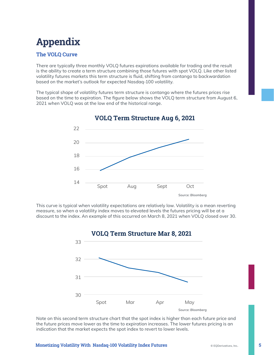## **Appendix**

#### **The VOLQ Curve**

There are typically three monthly VOLQ futures expirations available for trading and the result is the ability to create a term structure combining those futures with spot VOLQ. Like other listed volatility futures markets this term structure is fluid, shifting from contango to backwardation based on the market's outlook for expected Nasdaq-100 volatility.

The typical shape of volatility futures term structure is contango where the futures prices rise based on the time to expiration. The figure below shows the VOLQ term structure from August 6, 2021 when VOLQ was at the low end of the historical range.



**VOLQ Term Structure Aug 6, 2021**

This curve is typical when volatility expectations are relatively low. Volatility is a mean reverting measure, so when a volatility index moves to elevated levels the futures pricing will be at a discount to the index. An example of this occurred on March 8, 2021 when VOLQ closed over 30.



Note on this second term structure chart that the spot index is higher than each future price and the future prices move lower as the time to expiration increases. The lower futures pricing is an indication that the market expects the spot index to revert to lower levels.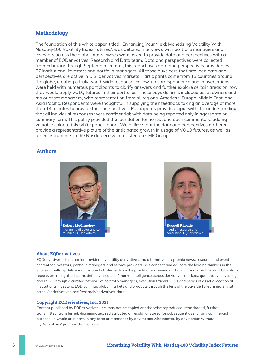#### **Methodology**

The foundation of this white paper, titled: 'Enhancing Your Yield: Monetizing Volatility With Nasdaq-100 Volatility Index Futures.', was detailed interviews with portfolio managers and investors across the globe. Interviewees were asked to provide data and perspectives with a member of EQDerivatives' Research and Data team. Data and perspectives were collected from February through September. In total, this report uses data and perspectives provided by 67 institutional investors and portfolio managers. All those buysiders that provided data and perspectives are active in U.S. derivatives markets. Participants came from 13 countries around the globe, creating a truly world-wide response. Follow-up correspondence and conversations were held with numerous participants to clarify answers and further explore certain areas on how they would apply VOLQ futures in their portfolios. These buyside firms included asset owners and major asset managers, with representation from all regions: Americas, Europe, Middle East, and Asia Pacific. Respondents were thoughtful in supplying their feedback taking an average of more than 14 minutes to provide their perspectives. Participants provided input with the understanding that all individual responses were confidential; with data being reported only in aggregate or summary form. This policy provided the foundation for honest and open commentary, adding valuable color to this white paper report. We believe that the data and perspectives gathered provide a representative picture of the anticipated growth in usage of VOLQ futures, as well as other instruments in the Nasdaq ecosystem listed on CME Group.

#### **Authors**





head of research and consulting, EQDerivatives

#### **About EQDerivatives**

EQDerivatives is the premier provider of volatility derivatives and alternative risk premia news, research and event content for investors, portfolio managers and service providers. We connect and educate the leading thinkers in the space globally by delivering the latest strategies from the practitioners buying and structuring investments. EQD's data reports are recognized as the definitive source of market intelligence across derivatives markets, quantitative investing and ESG. Through a curated network of portfolio managers, execution traders, CIOs and heads of asset allocation at institutional investors, EQD can map global markets and products through the lens of the buyside.To learn more, visit https://eqderivatives.com/research/derivatives-data.

#### **Copyright EQDerivatives, Inc. 2021.**

Content published by EQDerivatives, Inc. may not be copied or otherwise reproduced, repackaged, further transmitted, transferred, disseminated, redistributed or resold, or stored for subsequent use for any commercial purpose, in whole or in part, in any form or manner or by any means whatsoever, by any person without EQDerivatives' prior written consent.